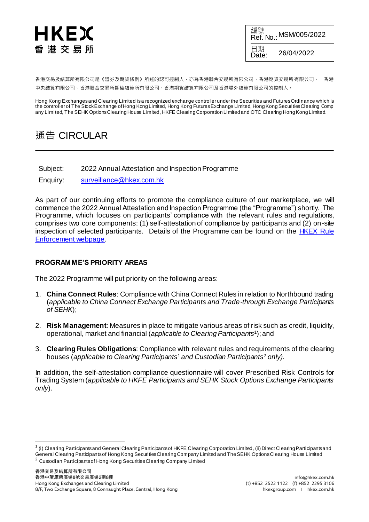## HKEX 香港交易所

編號 **Ref. No.: MSM/005/2022** 日期<br>Date: Date: 26/04/2022

香港交易及結算所有限公司是《證券及期貨條例》所述的認可控制人,亦為香港聯合交易所有限公司、香港期貨交易所有限公司、 香港 中央結算有限公司、香港聯合交易所期權結算所有限公司、香港期貨結算有限公司及香港場外結算有限公司的控制人。

Hong Kong Exchanges and Clearing Limited is a recognized exchange controller under the Securities and Futures Ordinance which is the controller of The Stock Exchange of Hong Kong Limited, Hong Kong Futures Exchange Limited, Hong Kong Securities Clearing Comp any Limited, The SEHK Options Clearing House Limited, HKFE Clearing Corporation Limited and OTC Clearing Hong Kong Limited.

## 通告 CIRCULAR

Subject: 2022 Annual Attestation and Inspection Programme

Enquiry: [surveillance@hkex.com.hk](mailto:surveillance@hkex.com.hk)

As part of our continuing efforts to promote the compliance culture of our marketplace, we will commence the 2022 Annual Attestation and Inspection Programme (the "Programme") shortly. The Programme, which focuses on participants' compliance with the relevant rules and regulations, comprises two core components: (1) self-attestation of compliance by participants and (2) on-site inspection of selected participants. Details of the Programme can be found on the [HKEX Rule](https://www.hkex.com.hk/Services/Rules-and-Forms-and-Fees/HKEX-Rule-Enforcement-and-Disciplinary/HKEX-Rule-Enforcement?sc_lang=en)  [Enforcement webpage](https://www.hkex.com.hk/Services/Rules-and-Forms-and-Fees/HKEX-Rule-Enforcement-and-Disciplinary/HKEX-Rule-Enforcement?sc_lang=en).

## **PROGRAMME'S PRIORITY AREAS**

The 2022 Programme will put priority on the following areas:

- 1. **China Connect Rules**: Compliance with China Connect Rules in relation to Northbound trading (*applicable to China Connect Exchange Participants and Trade-through Exchange Participants of SEHK*);
- 2. **Risk Management**: Measures in place to mitigate various areas of risk such as credit, liquidity, operational, market and financial (*applicable to Clearing Participants*<sup>1</sup> ); and
- <span id="page-0-0"></span>3. **Clearing Rules Obligations**: Compliance with relevant rules and requirements of the clearing houses (*applicable to Clearing Participant[s](#page-0-0)*<sup>1</sup> *and Custodian Participants*<sup>2</sup> *only)*.

In addition, the self-attestation compliance questionnaire will cover Prescribed Risk Controls for Trading System (*applicable to HKFE Participants and SEHK Stock Options Exchange Participants only*).

1

 $^1$  (i) Clearing Participants and General Clearing Participants of HKFE Clearing Corporation Limited, (ii) Direct Clearing Participants and General Clearing Participants of Hong Kong Securities Clearing Company Limited and The SEHK Options Clearing House Limited

<sup>&</sup>lt;sup>2</sup> Custodian Participants of Hong Kong Securities Clearing Company Limited